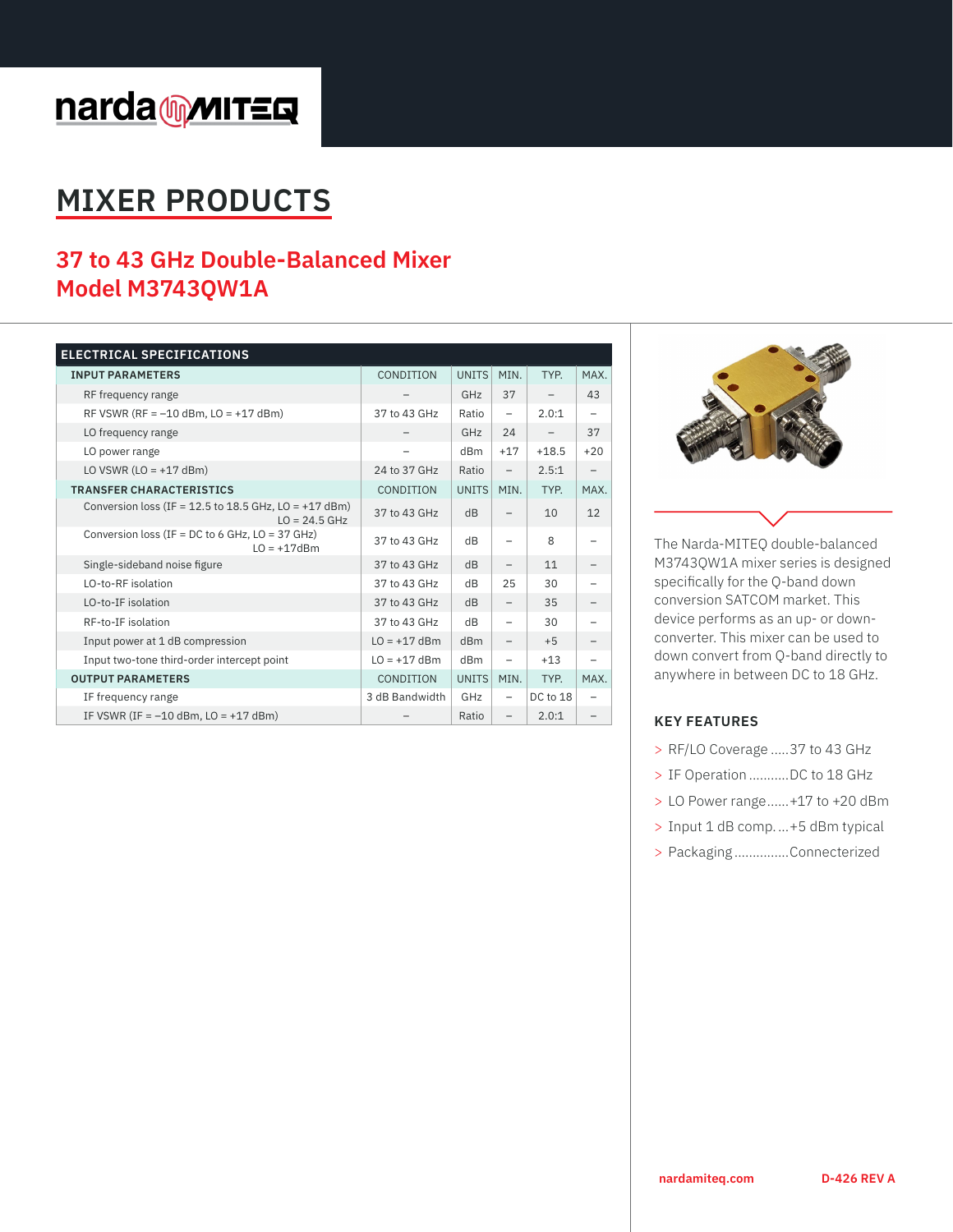# narda multers

## **MIXER PRODUCTS**

### **37 to 43 GHz Double-Balanced Mixer Model M3743QW1A**

| <b>ELECTRICAL SPECIFICATIONS</b>                                             |                          |                 |                          |          |                          |
|------------------------------------------------------------------------------|--------------------------|-----------------|--------------------------|----------|--------------------------|
| <b>INPUT PARAMETERS</b>                                                      | CONDITION                | <b>UNITS</b>    | MIN.                     | TYP.     | MAX.                     |
| RF frequency range                                                           |                          | GHz             | 37                       |          | 43                       |
| RF VSWR (RF = $-10$ dBm, LO = $+17$ dBm)                                     | 37 to 43 GHz             | Ratio           | $\overline{\phantom{0}}$ | 2.0:1    |                          |
| LO frequency range                                                           |                          | GHz             | 24                       |          | 37                       |
| LO power range                                                               | $\overline{\phantom{0}}$ | dB <sub>m</sub> | $+17$                    | $+18.5$  | $+20$                    |
| LO VSWR $(LO = +17$ dBm)                                                     | 24 to 37 GHz             | Ratio           | $\overline{\phantom{0}}$ | 2.5:1    | $\overline{\phantom{0}}$ |
| <b>TRANSFER CHARACTERISTICS</b>                                              | CONDITION                | <b>UNITS</b>    | MIN.                     | TYP.     | MAX.                     |
| Conversion loss (IF = $12.5$ to 18.5 GHz, LO = $+17$ dBm)<br>$LO = 24.5$ GHz | 37 to 43 GHz             | dB              |                          | 10       | 12                       |
| Conversion loss (IF = $DC$ to 6 GHz, $LO = 37$ GHz)<br>$LO = +17dBm$         | 37 to 43 GHz             | dB              |                          | 8        |                          |
| Single-sideband noise figure                                                 | 37 to 43 GHz             | dB              |                          | 11       |                          |
| LO-to-RF isolation                                                           | 37 to 43 GHz             | dB              | 25                       | 30       |                          |
| LO-to-IF isolation                                                           | 37 to 43 GHz             | dB              | $\qquad \qquad -$        | 35       |                          |
| RF-to-IF isolation                                                           | 37 to 43 GHz             | dB              | $\overline{\phantom{0}}$ | 30       |                          |
| Input power at 1 dB compression                                              | $LO = +17$ dBm           | dBm             | $\overline{\phantom{0}}$ | $+5$     |                          |
| Input two-tone third-order intercept point                                   | $LO = +17$ dBm           | dB <sub>m</sub> |                          | $+13$    |                          |
| <b>OUTPUT PARAMETERS</b>                                                     | CONDITION                | <b>UNITS</b>    | MIN.                     | TYP.     | MAX.                     |
| IF frequency range                                                           | 3 dB Bandwidth           | GHz             |                          | DC to 18 |                          |
| IF VSWR (IF = $-10$ dBm, LO = $+17$ dBm)                                     |                          | Ratio           | $\qquad \qquad -$        | 2.0:1    |                          |



The Narda-MITEQ double-balanced M3743QW1A mixer series is designed specifically for the Q-band down conversion SATCOM market. This device performs as an up- or downconverter. This mixer can be used to down convert from Q-band directly to anywhere in between DC to 18 GHz.

#### **KEY FEATURES**

- > RF/LO Coverage .....37 to 43 GHz
- > IF Operation ...........DC to 18 GHz
- > LO Power range......+17 to +20 dBm
- > Input 1 dB comp....+5 dBm typical
- > Packaging ...............Connecterized